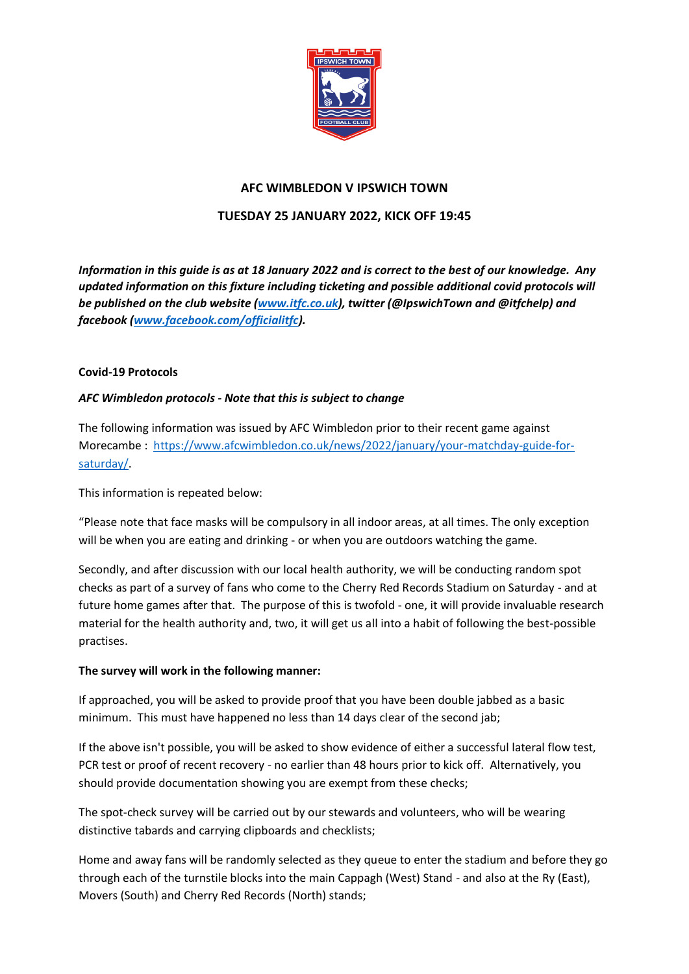

# **AFC WIMBLEDON V IPSWICH TOWN**

# **TUESDAY 25 JANUARY 2022, KICK OFF 19:45**

*Information in this guide is as at 18 January 2022 and is correct to the best of our knowledge. Any updated information on this fixture including ticketing and possible additional covid protocols will be published on the club website [\(www.itfc.co.uk\)](http://www.itfc.co.uk/), twitter (@IpswichTown and @itfchelp) and facebook [\(www.facebook.com/officialitfc\)](http://www.facebook.com/officialitsc).*

# **Covid-19 Protocols**

# *AFC Wimbledon protocols - Note that this is subject to change*

The following information was issued by AFC Wimbledon prior to their recent game against Morecambe : [https://www.afcwimbledon.co.uk/news/2022/january/your-matchday-guide-for](https://www.afcwimbledon.co.uk/news/2022/january/your-matchday-guide-for-saturday/)[saturday/.](https://www.afcwimbledon.co.uk/news/2022/january/your-matchday-guide-for-saturday/)

This information is repeated below:

"Please note that face masks will be compulsory in all indoor areas, at all times. The only exception will be when you are eating and drinking - or when you are outdoors watching the game.

Secondly, and after discussion with our local health authority, we will be conducting random spot checks as part of a survey of fans who come to the Cherry Red Records Stadium on Saturday - and at future home games after that. The purpose of this is twofold - one, it will provide invaluable research material for the health authority and, two, it will get us all into a habit of following the best-possible practises.

# **The survey will work in the following manner:**

If approached, you will be asked to provide proof that you have been double jabbed as a basic minimum. This must have happened no less than 14 days clear of the second jab;

If the above isn't possible, you will be asked to show evidence of either a successful lateral flow test, PCR test or proof of recent recovery - no earlier than 48 hours prior to kick off. Alternatively, you should provide documentation showing you are exempt from these checks;

The spot-check survey will be carried out by our stewards and volunteers, who will be wearing distinctive tabards and carrying clipboards and checklists;

Home and away fans will be randomly selected as they queue to enter the stadium and before they go through each of the turnstile blocks into the main Cappagh (West) Stand - and also at the Ry (East), Movers (South) and Cherry Red Records (North) stands;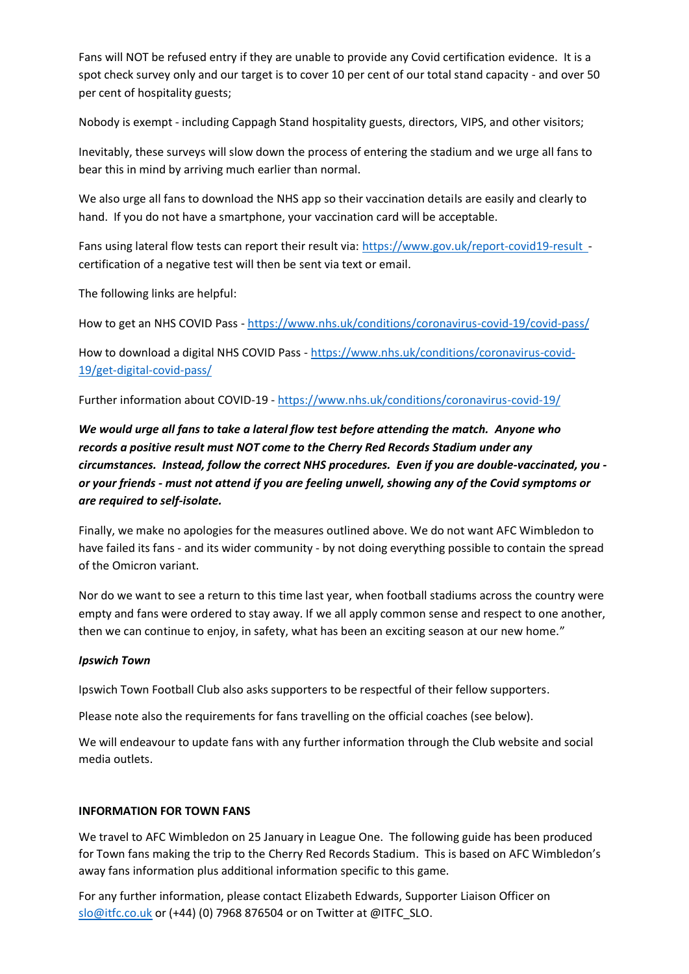Fans will NOT be refused entry if they are unable to provide any Covid certification evidence. It is a spot check survey only and our target is to cover 10 per cent of our total stand capacity - and over 50 per cent of hospitality guests;

Nobody is exempt - including Cappagh Stand hospitality guests, directors, VIPS, and other visitors;

Inevitably, these surveys will slow down the process of entering the stadium and we urge all fans to bear this in mind by arriving much earlier than normal.

We also urge all fans to download the NHS app so their vaccination details are easily and clearly to hand. If you do not have a smartphone, your vaccination card will be acceptable.

Fans using lateral flow tests can report their result via: [https://www.gov.uk/report-covid19-result](https://www.gov.uk/report-covid19-result%20 )  certification of a negative test will then be sent via text or email.

The following links are helpful:

How to get an NHS COVID Pass - <https://www.nhs.uk/conditions/coronavirus-covid-19/covid-pass/>

How to download a digital NHS COVID Pass - [https://www.nhs.uk/conditions/coronavirus-covid-](https://www.nhs.uk/conditions/coronavirus-covid-19/get-digital-covid-pass/)[19/get-digital-covid-pass/](https://www.nhs.uk/conditions/coronavirus-covid-19/get-digital-covid-pass/)

Further information about COVID-19 - <https://www.nhs.uk/conditions/coronavirus-covid-19/>

# *We would urge all fans to take a lateral flow test before attending the match. Anyone who records a positive result must NOT come to the Cherry Red Records Stadium under any circumstances. Instead, follow the correct NHS procedures. Even if you are double-vaccinated, you or your friends - must not attend if you are feeling unwell, showing any of the Covid symptoms or are required to self-isolate.*

Finally, we make no apologies for the measures outlined above. We do not want AFC Wimbledon to have failed its fans - and its wider community - by not doing everything possible to contain the spread of the Omicron variant.

Nor do we want to see a return to this time last year, when football stadiums across the country were empty and fans were ordered to stay away. If we all apply common sense and respect to one another, then we can continue to enjoy, in safety, what has been an exciting season at our new home."

# *Ipswich Town*

Ipswich Town Football Club also asks supporters to be respectful of their fellow supporters.

Please note also the requirements for fans travelling on the official coaches (see below).

We will endeavour to update fans with any further information through the Club website and social media outlets.

# **INFORMATION FOR TOWN FANS**

We travel to AFC Wimbledon on 25 January in League One. The following guide has been produced for Town fans making the trip to the Cherry Red Records Stadium. This is based on AFC Wimbledon's away fans information plus additional information specific to this game.

For any further information, please contact Elizabeth Edwards, Supporter Liaison Officer on [slo@itfc.co.uk](mailto:slo@itfc.co.uk) or (+44) (0) 7968 876504 or on Twitter at @ITFC\_SLO.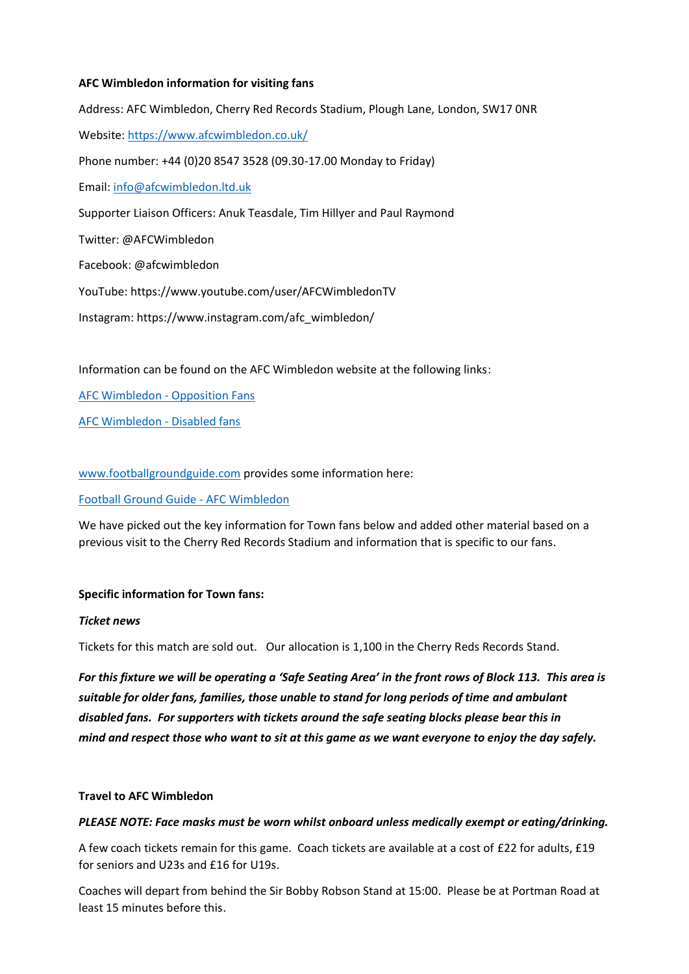# **AFC Wimbledon information for visiting fans**

Address: AFC Wimbledon, Cherry Red Records Stadium, Plough Lane, London, SW17 0NR Website: <https://www.afcwimbledon.co.uk/> Phone number: +44 (0)20 8547 3528 (09.30-17.00 Monday to Friday) Email: [info@afcwimbledon.ltd.uk](mailto:info@afcwimbledon.ltd.uk) Supporter Liaison Officers: Anuk Teasdale, Tim Hillyer and Paul Raymond Twitter: @AFCWimbledon Facebook: @afcwimbledon YouTube: <https://www.youtube.com/user/AFCWimbledonTV> Instagram: [https://www.instagram.com/afc\\_wimbledon/](https://www.instagram.com/afc_wimbledon/)

Information can be found on the AFC Wimbledon website at the following links:

[AFC Wimbledon -](file:///C:/Users/altpi/Downloads/AFC%20Wimbledon%20-%20Opposition%20Fans) Opposition Fans

[AFC Wimbledon -](file:///C:/Users/altpi/Downloads/AFC%20Wimbledon%20-%20Disabled%20fans) Disabled fans

[www.footballgroundguide.com](http://www.footballgroundguide.com/) provides some information here:

# [Football Ground Guide -](file:///C:/Users/altpi/Downloads/Football%20Ground%20Guide%20-%20AFC%20Wimbledon) AFC Wimbledon

We have picked out the key information for Town fans below and added other material based on a previous visit to the Cherry Red Records Stadium and information that is specific to our fans.

# **Specific information for Town fans:**

# *Ticket news*

Tickets for this match are sold out. Our allocation is 1,100 in the Cherry Reds Records Stand.

*For this fixture we will be operating a 'Safe Seating Area' in the front rows of Block 113. This area is suitable for older fans, families, those unable to stand for long periods of time and ambulant disabled fans. For supporters with tickets around the safe seating blocks please bear this in mind and respect those who want to sit at this game as we want everyone to enjoy the day safely.*

# **Travel to AFC Wimbledon**

# *PLEASE NOTE: Face masks must be worn whilst onboard unless medically exempt or eating/drinking.*

A few coach tickets remain for this game. Coach tickets are available at a cost of £22 for adults, £19 for seniors and U23s and £16 for U19s.

Coaches will depart from behind the Sir Bobby Robson Stand at 15:00. Please be at Portman Road at least 15 minutes before this.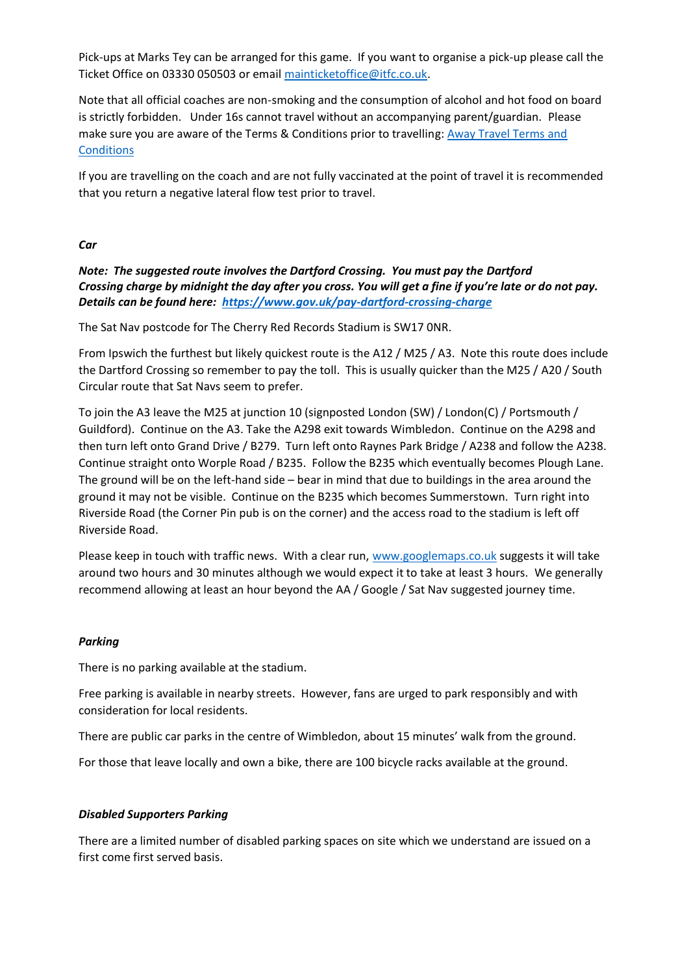Pick-ups at Marks Tey can be arranged for this game. If you want to organise a pick-up please call the Ticket Office on 03330 050503 or email [mainticketoffice@itfc.co.uk.](mailto:mainticketoffice@itfc.co.uk)

Note that all official coaches are non-smoking and the consumption of alcohol and hot food on board is strictly forbidden. Under 16s cannot travel without an accompanying parent/guardian. Please make sure you are aware of the Terms & Conditions prior to travelling[: Away Travel Terms and](file:///C:/Users/altpi/Downloads/Away%20Travel%20Terms%20and%20Conditions)  **[Conditions](file:///C:/Users/altpi/Downloads/Away%20Travel%20Terms%20and%20Conditions)** 

If you are travelling on the coach and are not fully vaccinated at the point of travel it is recommended that you return a negative lateral flow test prior to travel.

*Car*

*Note: The suggested route involves the Dartford Crossing. You must pay the Dartford Crossing charge by midnight the day after you cross. You will get a fine if you're late or do not pay. Details can be found here: <https://www.gov.uk/pay-dartford-crossing-charge>*

The Sat Nav postcode for The Cherry Red Records Stadium is SW17 0NR.

From Ipswich the furthest but likely quickest route is the A12 / M25 / A3. Note this route does include the Dartford Crossing so remember to pay the toll. This is usually quicker than the M25 / A20 / South Circular route that Sat Navs seem to prefer.

To join the A3 leave the M25 at junction 10 (signposted London (SW) / London(C) / Portsmouth / Guildford). Continue on the A3. Take the A298 exit towards Wimbledon. Continue on the A298 and then turn left onto Grand Drive / B279. Turn left onto Raynes Park Bridge / A238 and follow the A238. Continue straight onto Worple Road / B235. Follow the B235 which eventually becomes Plough Lane. The ground will be on the left-hand side – bear in mind that due to buildings in the area around the ground it may not be visible. Continue on the B235 which becomes Summerstown. Turn right into Riverside Road (the Corner Pin pub is on the corner) and the access road to the stadium is left off Riverside Road.

Please keep in touch with traffic news. With a clear run, [www.googlemaps.co.uk](http://www.googlemaps.co.uk/) suggests it will take around two hours and 30 minutes although we would expect it to take at least 3 hours. We generally recommend allowing at least an hour beyond the AA / Google / Sat Nav suggested journey time.

# *Parking*

There is no parking available at the stadium.

Free parking is available in nearby streets. However, fans are urged to park responsibly and with consideration for local residents.

There are public car parks in the centre of Wimbledon, about 15 minutes' walk from the ground.

For those that leave locally and own a bike, there are 100 bicycle racks available at the ground.

# *Disabled Supporters Parking*

There are a limited number of disabled parking spaces on site which we understand are issued on a first come first served basis.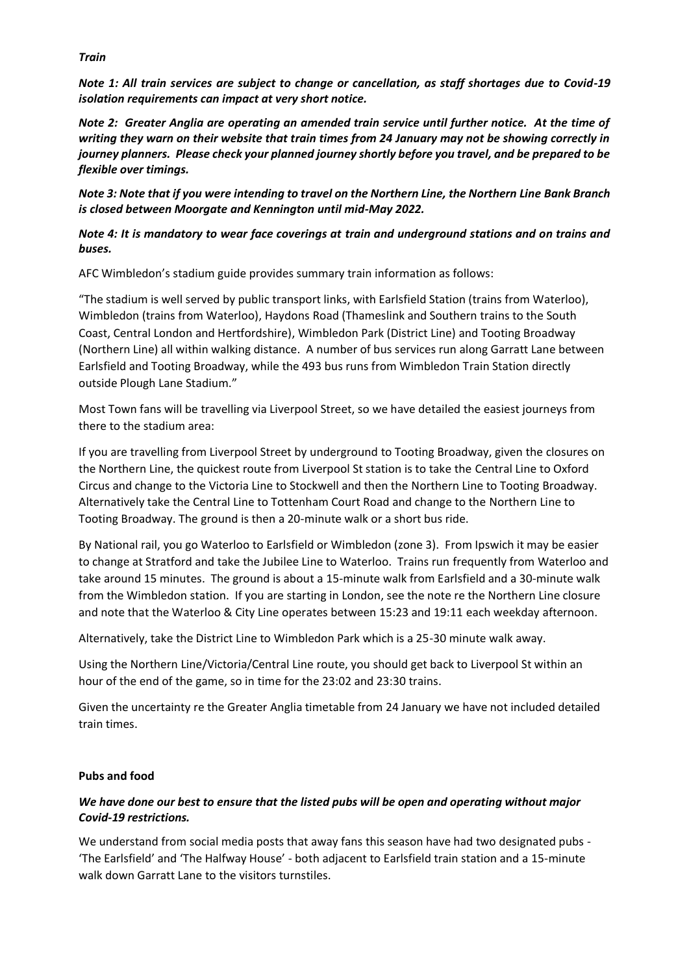#### *Train*

*Note 1: All train services are subject to change or cancellation, as staff shortages due to Covid-19 isolation requirements can impact at very short notice.* 

*Note 2: Greater Anglia are operating an amended train service until further notice. At the time of writing they warn on their website that train times from 24 January may not be showing correctly in journey planners. Please check your planned journey shortly before you travel, and be prepared to be flexible over timings.* 

*Note 3: Note that if you were intending to travel on the Northern Line, the Northern Line Bank Branch is closed between Moorgate and Kennington until mid-May 2022.*

# *Note 4: It is mandatory to wear face coverings at train and underground stations and on trains and buses.*

AFC Wimbledon's stadium guide provides summary train information as follows:

"The stadium is well served by public transport links, with Earlsfield Station (trains from Waterloo), Wimbledon (trains from Waterloo), Haydons Road (Thameslink and Southern trains to the South Coast, Central London and Hertfordshire), Wimbledon Park (District Line) and Tooting Broadway (Northern Line) all within walking distance. A number of bus services run along Garratt Lane between Earlsfield and Tooting Broadway, while the 493 bus runs from Wimbledon Train Station directly outside Plough Lane Stadium."

Most Town fans will be travelling via Liverpool Street, so we have detailed the easiest journeys from there to the stadium area:

If you are travelling from Liverpool Street by underground to Tooting Broadway, given the closures on the Northern Line, the quickest route from Liverpool St station is to take the Central Line to Oxford Circus and change to the Victoria Line to Stockwell and then the Northern Line to Tooting Broadway. Alternatively take the Central Line to Tottenham Court Road and change to the Northern Line to Tooting Broadway. The ground is then a 20-minute walk or a short bus ride.

By National rail, you go Waterloo to Earlsfield or Wimbledon (zone 3). From Ipswich it may be easier to change at Stratford and take the Jubilee Line to Waterloo. Trains run frequently from Waterloo and take around 15 minutes. The ground is about a 15-minute walk from Earlsfield and a 30-minute walk from the Wimbledon station. If you are starting in London, see the note re the Northern Line closure and note that the Waterloo & City Line operates between 15:23 and 19:11 each weekday afternoon.

Alternatively, take the District Line to Wimbledon Park which is a 25-30 minute walk away.

Using the Northern Line/Victoria/Central Line route, you should get back to Liverpool St within an hour of the end of the game, so in time for the 23:02 and 23:30 trains.

Given the uncertainty re the Greater Anglia timetable from 24 January we have not included detailed train times.

# **Pubs and food**

# *We have done our best to ensure that the listed pubs will be open and operating without major Covid-19 restrictions.*

We understand from social media posts that away fans this season have had two designated pubs - 'The Earlsfield' and 'The Halfway House' - both adjacent to Earlsfield train station and a 15-minute walk down Garratt Lane to the visitors turnstiles.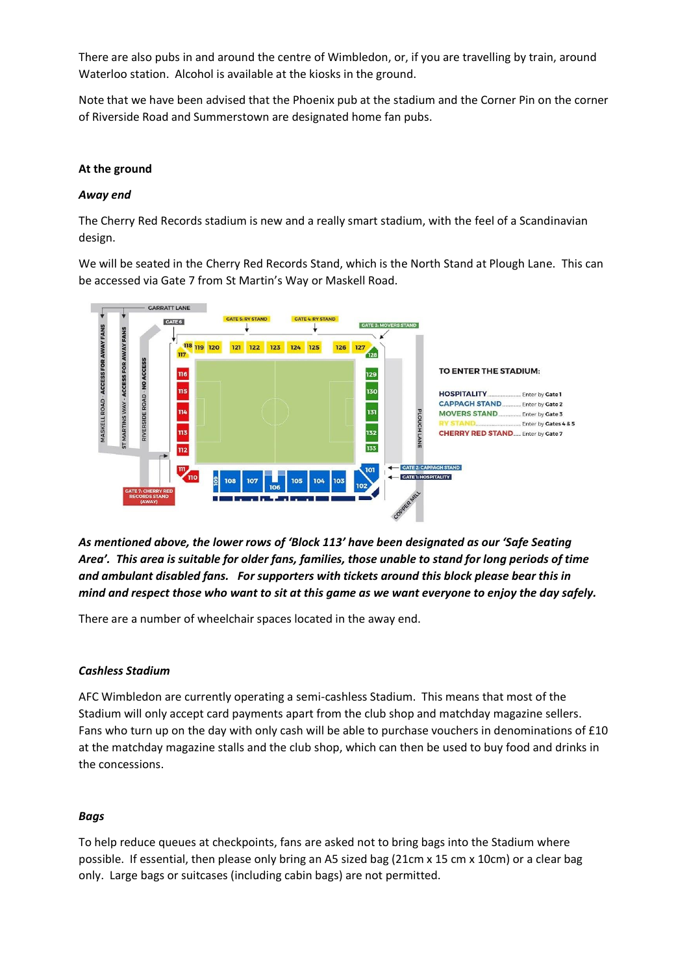There are also pubs in and around the centre of Wimbledon, or, if you are travelling by train, around Waterloo station. Alcohol is available at the kiosks in the ground.

Note that we have been advised that the Phoenix pub at the stadium and the Corner Pin on the corner of Riverside Road and Summerstown are designated home fan pubs.

#### **At the ground**

#### *Away end*

The Cherry Red Records stadium is new and a really smart stadium, with the feel of a Scandinavian design.

We will be seated in the Cherry Red Records Stand, which is the North Stand at Plough Lane. This can be accessed via Gate 7 from St Martin's Way or Maskell Road.



*As mentioned above, the lower rows of 'Block 113' have been designated as our 'Safe Seating Area'. This area is suitable for older fans, families, those unable to stand for long periods of time and ambulant disabled fans. For supporters with tickets around this block please bear this in mind and respect those who want to sit at this game as we want everyone to enjoy the day safely.*

There are a number of wheelchair spaces located in the away end.

#### *Cashless Stadium*

AFC Wimbledon are currently operating a semi-cashless Stadium. This means that most of the Stadium will only accept card payments apart from the club shop and matchday magazine sellers. Fans who turn up on the day with only cash will be able to purchase vouchers in denominations of £10 at the matchday magazine stalls and the club shop, which can then be used to buy food and drinks in the concessions.

# *Bags*

To help reduce queues at checkpoints, fans are asked not to bring bags into the Stadium where possible. If essential, then please only bring an A5 sized bag (21cm x 15 cm x 10cm) or a clear bag only. Large bags or suitcases (including cabin bags) are not permitted.